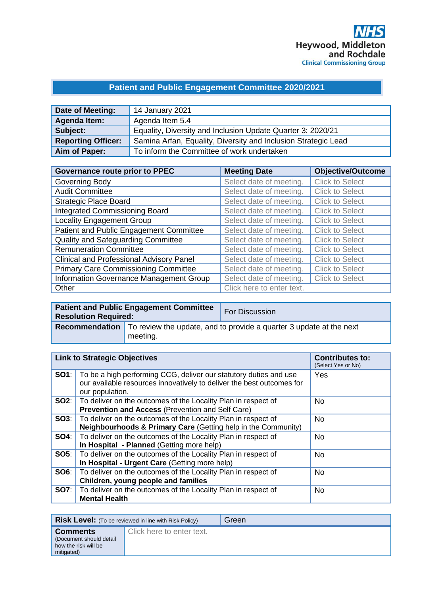## **Patient and Public Engagement Committee 2020/2021**

| Date of Meeting:          | 14 January 2021                                                |
|---------------------------|----------------------------------------------------------------|
| Agenda Item:              | Agenda Item 5.4                                                |
| Subject:                  | Equality, Diversity and Inclusion Update Quarter 3: 2020/21    |
| <b>Reporting Officer:</b> | Samina Arfan, Equality, Diversity and Inclusion Strategic Lead |
| Aim of Paper:             | To inform the Committee of work undertaken                     |

| <b>Governance route prior to PPEC</b>           | <b>Meeting Date</b>       | <b>Objective/Outcome</b> |
|-------------------------------------------------|---------------------------|--------------------------|
| Governing Body                                  | Select date of meeting.   | <b>Click to Select</b>   |
| <b>Audit Committee</b>                          | Select date of meeting.   | <b>Click to Select</b>   |
| <b>Strategic Place Board</b>                    | Select date of meeting.   | <b>Click to Select</b>   |
| <b>Integrated Commissioning Board</b>           | Select date of meeting.   | <b>Click to Select</b>   |
| <b>Locality Engagement Group</b>                | Select date of meeting.   | <b>Click to Select</b>   |
| Patient and Public Engagement Committee         | Select date of meeting.   | <b>Click to Select</b>   |
| Quality and Safeguarding Committee              | Select date of meeting.   | <b>Click to Select</b>   |
| <b>Remuneration Committee</b>                   | Select date of meeting.   | <b>Click to Select</b>   |
| <b>Clinical and Professional Advisory Panel</b> | Select date of meeting.   | <b>Click to Select</b>   |
| <b>Primary Care Commissioning Committee</b>     | Select date of meeting.   | <b>Click to Select</b>   |
| Information Governance Management Group         | Select date of meeting.   | <b>Click to Select</b>   |
| Other                                           | Click here to enter text. |                          |

| <b>Resolution Required:</b> | <b>Patient and Public Engagement Committee</b> | For Discussion                                                                            |
|-----------------------------|------------------------------------------------|-------------------------------------------------------------------------------------------|
|                             | meeting.                                       | <b>Recommendation</b> To review the update, and to provide a quarter 3 update at the next |

| <b>Link to Strategic Objectives</b> |                                                                                                                                                               | <b>Contributes to:</b><br>(Select Yes or No) |
|-------------------------------------|---------------------------------------------------------------------------------------------------------------------------------------------------------------|----------------------------------------------|
| SO1:                                | To be a high performing CCG, deliver our statutory duties and use<br>our available resources innovatively to deliver the best outcomes for<br>our population. | Yes                                          |
| SO2:                                | To deliver on the outcomes of the Locality Plan in respect of<br>Prevention and Access (Prevention and Self Care)                                             | No.                                          |
| SOS:                                | To deliver on the outcomes of the Locality Plan in respect of<br>Neighbourhoods & Primary Care (Getting help in the Community)                                | <b>No</b>                                    |
| SO4:                                | To deliver on the outcomes of the Locality Plan in respect of<br>In Hospital - Planned (Getting more help)                                                    | <b>No</b>                                    |
| SO5:                                | To deliver on the outcomes of the Locality Plan in respect of<br>In Hospital - Urgent Care (Getting more help)                                                | <b>No</b>                                    |
| SO6:                                | To deliver on the outcomes of the Locality Plan in respect of<br>Children, young people and families                                                          | <b>No</b>                                    |
| <b>SO7:</b>                         | To deliver on the outcomes of the Locality Plan in respect of<br><b>Mental Health</b>                                                                         | <b>No</b>                                    |

|                                                                                   | <b>Risk Level:</b> (To be reviewed in line with Risk Policy) | Green |
|-----------------------------------------------------------------------------------|--------------------------------------------------------------|-------|
| <b>Comments</b><br>(Document should detail)<br>how the risk will be<br>mitigated) | Click here to enter text.                                    |       |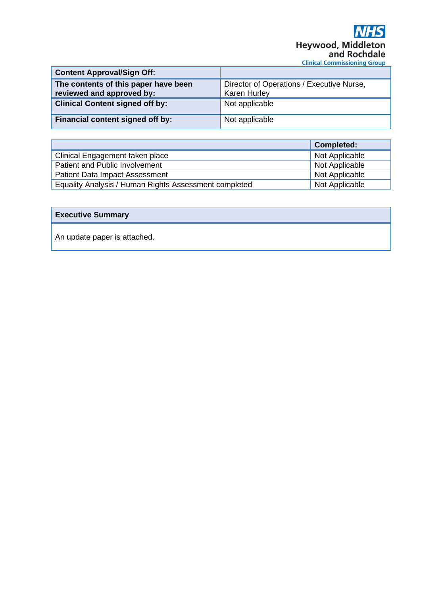| <b>Content Approval/Sign Off:</b>                                 |                                                                  |
|-------------------------------------------------------------------|------------------------------------------------------------------|
| The contents of this paper have been<br>reviewed and approved by: | Director of Operations / Executive Nurse,<br><b>Karen Hurley</b> |
| <b>Clinical Content signed off by:</b>                            | Not applicable                                                   |
| Financial content signed off by:                                  | Not applicable                                                   |

|                                                       | <b>Completed:</b> |
|-------------------------------------------------------|-------------------|
| Clinical Engagement taken place                       | Not Applicable    |
| Patient and Public Involvement                        | Not Applicable    |
| <b>Patient Data Impact Assessment</b>                 | Not Applicable    |
| Equality Analysis / Human Rights Assessment completed | Not Applicable    |

#### **Executive Summary**

An update paper is attached.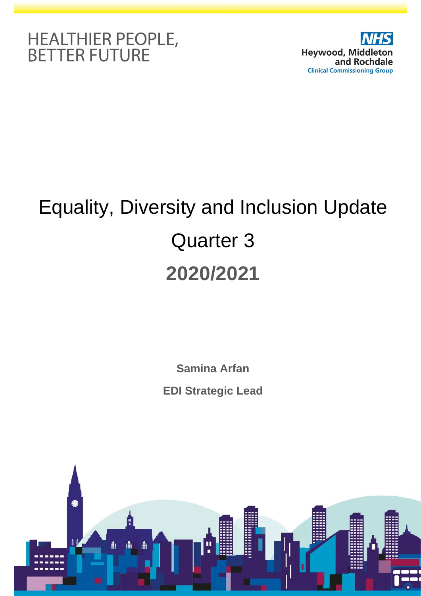



# Equality, Diversity and Inclusion Update Quarter 3 **2020/2021**

**Samina Arfan EDI Strategic Lead**

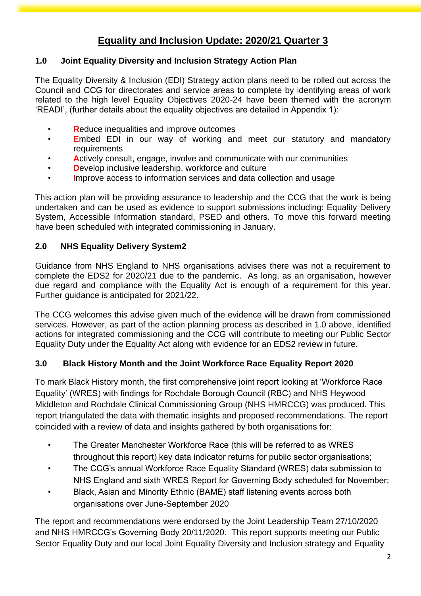# **Equality and Inclusion Update: 2020/21 Quarter 3**

#### **1.0 Joint Equality Diversity and Inclusion Strategy Action Plan**

The Equality Diversity & Inclusion (EDI) Strategy action plans need to be rolled out across the Council and CCG for directorates and service areas to complete by identifying areas of work related to the high level Equality Objectives 2020-24 have been themed with the acronym 'READI', (further details about the equality objectives are detailed in Appendix 1):

- **R**educe inequalities and improve outcomes
- **E**mbed EDI in our way of working and meet our statutory and mandatory requirements
- **A**ctively consult, engage, involve and communicate with our communities
- **D**evelop inclusive leadership, workforce and culture
- **I**mprove access to information services and data collection and usage

This action plan will be providing assurance to leadership and the CCG that the work is being undertaken and can be used as evidence to support submissions including: Equality Delivery System, Accessible Information standard, PSED and others. To move this forward meeting have been scheduled with integrated commissioning in January.

#### **2.0 NHS Equality Delivery System2**

Guidance from NHS England to NHS organisations advises there was not a requirement to complete the EDS2 for 2020/21 due to the pandemic. As long, as an organisation, however due regard and compliance with the Equality Act is enough of a requirement for this year. Further guidance is anticipated for 2021/22.

The CCG welcomes this advise given much of the evidence will be drawn from commissioned services. However, as part of the action planning process as described in 1.0 above, identified actions for integrated commissioning and the CCG will contribute to meeting our Public Sector Equality Duty under the Equality Act along with evidence for an EDS2 review in future.

#### **3.0 Black History Month and the Joint Workforce Race Equality Report 2020**

To mark Black History month, the first comprehensive joint report looking at 'Workforce Race Equality' (WRES) with findings for Rochdale Borough Council (RBC) and NHS Heywood Middleton and Rochdale Clinical Commissioning Group (NHS HMRCCG) was produced. This report triangulated the data with thematic insights and proposed recommendations. The report coincided with a review of data and insights gathered by both organisations for:

- The Greater Manchester Workforce Race (this will be referred to as WRES throughout this report) key data indicator returns for public sector organisations;
- The CCG's annual Workforce Race Equality Standard (WRES) data submission to NHS England and sixth WRES Report for Governing Body scheduled for November;
- Black, Asian and Minority Ethnic (BAME) staff listening events across both organisations over June-September 2020

The report and recommendations were endorsed by the Joint Leadership Team 27/10/2020 and NHS HMRCCG's Governing Body 20/11/2020. This report supports meeting our Public Sector Equality Duty and our local Joint Equality Diversity and Inclusion strategy and Equality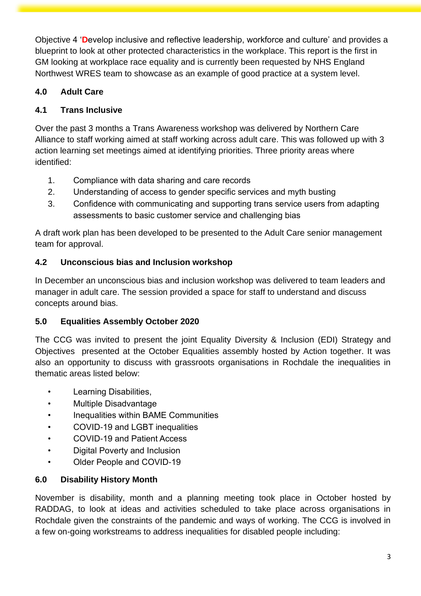Objective 4 '**D**evelop inclusive and reflective leadership, workforce and culture' and provides a blueprint to look at other protected characteristics in the workplace. This report is the first in GM looking at workplace race equality and is currently been requested by NHS England Northwest WRES team to showcase as an example of good practice at a system level.

#### **4.0 Adult Care**

#### **4.1 Trans Inclusive**

Over the past 3 months a Trans Awareness workshop was delivered by Northern Care Alliance to staff working aimed at staff working across adult care. This was followed up with 3 action learning set meetings aimed at identifying priorities. Three priority areas where identified:

- 1. Compliance with data sharing and care records
- 2. Understanding of access to gender specific services and myth busting
- 3. Confidence with communicating and supporting trans service users from adapting assessments to basic customer service and challenging bias

A draft work plan has been developed to be presented to the Adult Care senior management team for approval.

#### **4.2 Unconscious bias and Inclusion workshop**

In December an unconscious bias and inclusion workshop was delivered to team leaders and manager in adult care. The session provided a space for staff to understand and discuss concepts around bias.

#### **5.0 Equalities Assembly October 2020**

The CCG was invited to present the joint Equality Diversity & Inclusion (EDI) Strategy and Objectives presented at the October Equalities assembly hosted by Action together. It was also an opportunity to discuss with grassroots organisations in Rochdale the inequalities in thematic areas listed below:

- Learning Disabilities,
- Multiple Disadvantage
- Inequalities within BAME Communities
- COVID-19 and LGBT inequalities
- COVID-19 and Patient Access
- Digital Poverty and Inclusion
- Older People and COVID-19

## **6.0 Disability History Month**

November is disability, month and a planning meeting took place in October hosted by RADDAG, to look at ideas and activities scheduled to take place across organisations in Rochdale given the constraints of the pandemic and ways of working. The CCG is involved in a few on-going workstreams to address inequalities for disabled people including: